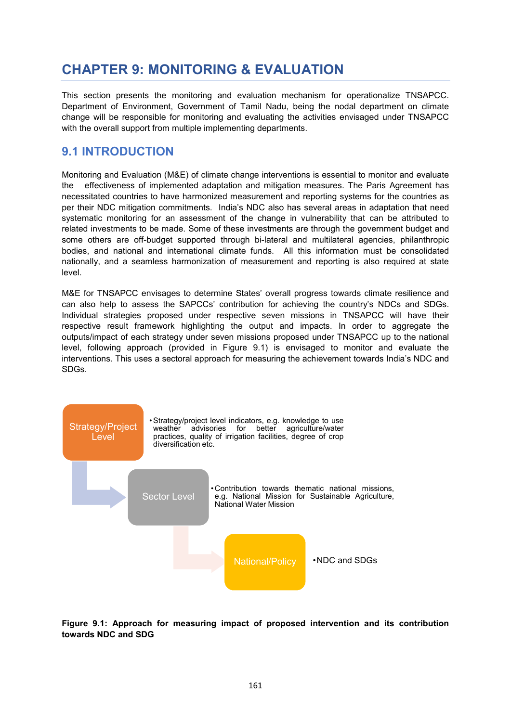# **CHAPTER 9: MONITORING & EVALUATION**

This section presents the monitoring and evaluation mechanism for operationalize TNSAPCC. Department of Environment, Government of Tamil Nadu, being the nodal department on climate change will be responsible for monitoring and evaluating the activities envisaged under TNSAPCC with the overall support from multiple implementing departments.

## **9.1 INTRODUCTION**

Monitoring and Evaluation (M&E) of climate change interventions is essential to monitor and evaluate the effectiveness of implemented adaptation and mitigation measures. The Paris Agreement has necessitated countries to have harmonized measurement and reporting systems for the countries as per their NDC mitigation commitments. India's NDC also has several areas in adaptation that need systematic monitoring for an assessment of the change in vulnerability that can be attributed to related investments to be made. Some of these investments are through the government budget and some others are off-budget supported through bi-lateral and multilateral agencies, philanthropic bodies, and national and international climate funds. All this information must be consolidated nationally, and a seamless harmonization of measurement and reporting is also required at state level.

M&E for TNSAPCC envisages to determine States' overall progress towards climate resilience and can also help to assess the SAPCCs' contribution for achieving the country's NDCs and SDGs. Individual strategies proposed under respective seven missions in TNSAPCC will have their respective result framework highlighting the output and impacts. In order to aggregate the outputs/impact of each strategy under seven missions proposed under TNSAPCC up to the national level, following approach (provided in Figure 9.1) is envisaged to monitor and evaluate the interventions. This uses a sectoral approach for measuring the achievement towards India's NDC and SDGs.



**Figure 9.1: Approach for measuring impact of proposed intervention and its contribution towards NDC and SDG**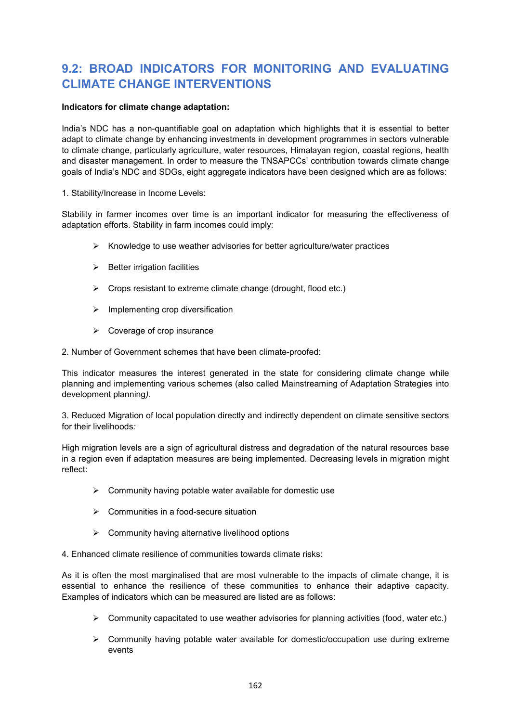## **9.2: BROAD INDICATORS FOR MONITORING AND EVALUATING CLIMATE CHANGE INTERVENTIONS**

#### **Indicators for climate change adaptation:**

India's NDC has a non-quantifiable goal on adaptation which highlights that it is essential to better adapt to climate change by enhancing investments in development programmes in sectors vulnerable to climate change, particularly agriculture, water resources, Himalayan region, coastal regions, health and disaster management. In order to measure the TNSAPCCs' contribution towards climate change goals of India's NDC and SDGs, eight aggregate indicators have been designed which are as follows:

1. Stability/Increase in Income Levels:

Stability in farmer incomes over time is an important indicator for measuring the effectiveness of adaptation efforts. Stability in farm incomes could imply:

- $\triangleright$  Knowledge to use weather advisories for better agriculture/water practices
- $\triangleright$  Better irrigation facilities
- $\triangleright$  Crops resistant to extreme climate change (drought, flood etc.)
- $\triangleright$  Implementing crop diversification
- $\triangleright$  Coverage of crop insurance

2. Number of Government schemes that have been climate-proofed:

This indicator measures the interest generated in the state for considering climate change while planning and implementing various schemes (also called Mainstreaming of Adaptation Strategies into development planning*)*.

3. Reduced Migration of local population directly and indirectly dependent on climate sensitive sectors for their livelihoods*:*

High migration levels are a sign of agricultural distress and degradation of the natural resources base in a region even if adaptation measures are being implemented. Decreasing levels in migration might reflect:

- $\triangleright$  Community having potable water available for domestic use
- $\triangleright$  Communities in a food-secure situation
- $\triangleright$  Community having alternative livelihood options

4. Enhanced climate resilience of communities towards climate risks:

As it is often the most marginalised that are most vulnerable to the impacts of climate change, it is essential to enhance the resilience of these communities to enhance their adaptive capacity. Examples of indicators which can be measured are listed are as follows:

- $\triangleright$  Community capacitated to use weather advisories for planning activities (food, water etc.)
- $\triangleright$  Community having potable water available for domestic/occupation use during extreme events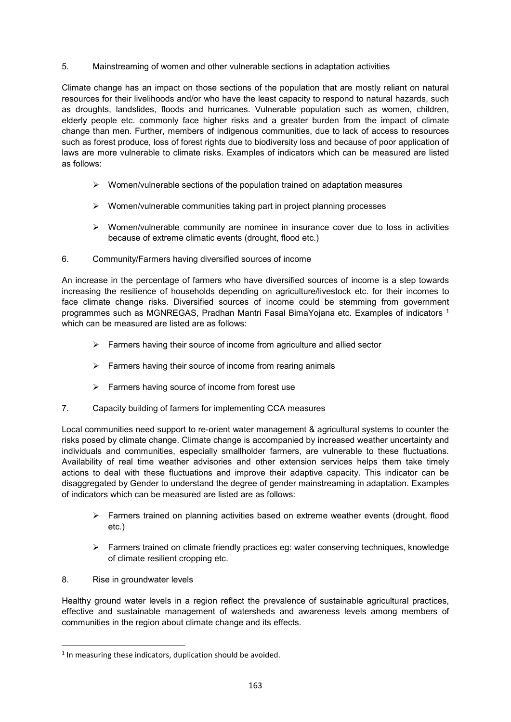#### 5. Mainstreaming of women and other vulnerable sections in adaptation activities

Climate change has an impact on those sections of the population that are mostly reliant on natural resources for their livelihoods and/or who have the least capacity to respond to natural hazards, such as droughts, landslides, floods and hurricanes. Vulnerable population such as women, children, elderly people etc. commonly face higher risks and a greater burden from the impact of climate change than men. Further, members of indigenous communities, due to lack of access to resources such as forest produce, loss of forest rights due to biodiversity loss and because of poor application of laws are more vulnerable to climate risks. Examples of indicators which can be measured are listed as follows:

- $\triangleright$  Women/vulnerable sections of the population trained on adaptation measures
- $\triangleright$  Women/vulnerable communities taking part in project planning processes
- $\triangleright$  Women/vulnerable community are nominee in insurance cover due to loss in activities because of extreme climatic events (drought, flood etc.)
- 6. Community/Farmers having diversified sources of income

An increase in the percentage of farmers who have diversified sources of income is a step towards increasing the resilience of households depending on agriculture/livestock etc. for their incomes to face climate change risks. Diversified sources of income could be stemming from government programmes such as MGNREGAS, Pradhan Mantri Fasal BimaYojana etc. Examples of indicators 1 which can be measured are listed are as follows:

- $\triangleright$  Farmers having their source of income from agriculture and allied sector
- $\triangleright$  Farmers having their source of income from rearing animals
- $\triangleright$  Farmers having source of income from forest use
- 7. Capacity building of farmers for implementing CCA measures

Local communities need support to re-orient water management & agricultural systems to counter the risks posed by climate change. Climate change is accompanied by increased weather uncertainty and individuals and communities, especially smallholder farmers, are vulnerable to these fluctuations. Availability of real time weather advisories and other extension services helps them take timely actions to deal with these fluctuations and improve their adaptive capacity. This indicator can be disaggregated by Gender to understand the degree of gender mainstreaming in adaptation. Examples of indicators which can be measured are listed are as follows:

- Farmers trained on planning activities based on extreme weather events (drought, flood etc.)
- $\triangleright$  Farmers trained on climate friendly practices eg: water conserving techniques, knowledge of climate resilient cropping etc.
- 8. Rise in groundwater levels

Healthy ground water levels in a region reflect the prevalence of sustainable agricultural practices, effective and sustainable management of watersheds and awareness levels among members of communities in the region about climate change and its effects.

 $1$  In measuring these indicators, duplication should be avoided.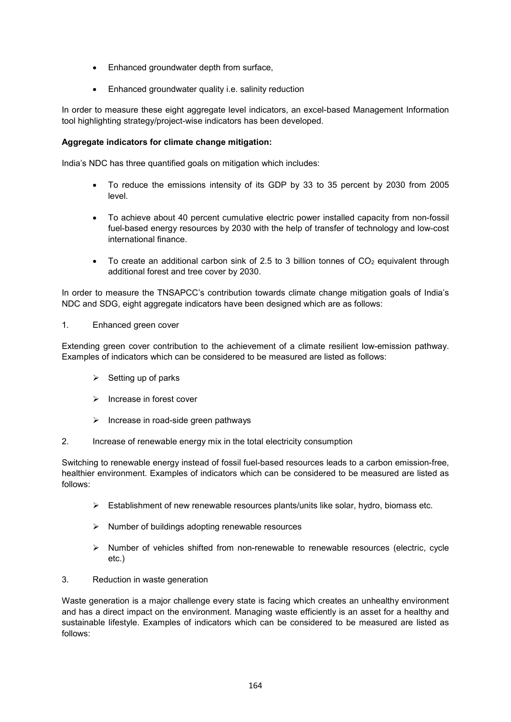- Enhanced groundwater depth from surface,
- Enhanced groundwater quality i.e. salinity reduction

In order to measure these eight aggregate level indicators, an excel-based Management Information tool highlighting strategy/project-wise indicators has been developed.

#### **Aggregate indicators for climate change mitigation:**

India's NDC has three quantified goals on mitigation which includes:

- To reduce the emissions intensity of its GDP by 33 to 35 percent by 2030 from 2005 level.
- To achieve about 40 percent cumulative electric power installed capacity from non-fossil fuel-based energy resources by 2030 with the help of transfer of technology and low-cost international finance.
- To create an additional carbon sink of 2.5 to 3 billion tonnes of  $CO<sub>2</sub>$  equivalent through additional forest and tree cover by 2030.

In order to measure the TNSAPCC's contribution towards climate change mitigation goals of India's NDC and SDG, eight aggregate indicators have been designed which are as follows:

#### 1. Enhanced green cover

Extending green cover contribution to the achievement of a climate resilient low-emission pathway. Examples of indicators which can be considered to be measured are listed as follows:

- $\triangleright$  Setting up of parks
- $\triangleright$  Increase in forest cover
- $\triangleright$  Increase in road-side green pathways
- 2. Increase of renewable energy mix in the total electricity consumption

Switching to renewable energy instead of fossil fuel-based resources leads to a carbon emission-free, healthier environment. Examples of indicators which can be considered to be measured are listed as follows:

- $\triangleright$  Establishment of new renewable resources plants/units like solar, hydro, biomass etc.
- $\triangleright$  Number of buildings adopting renewable resources
- $\triangleright$  Number of vehicles shifted from non-renewable to renewable resources (electric, cycle etc.)
- 3. Reduction in waste generation

Waste generation is a major challenge every state is facing which creates an unhealthy environment and has a direct impact on the environment. Managing waste efficiently is an asset for a healthy and sustainable lifestyle. Examples of indicators which can be considered to be measured are listed as follows: